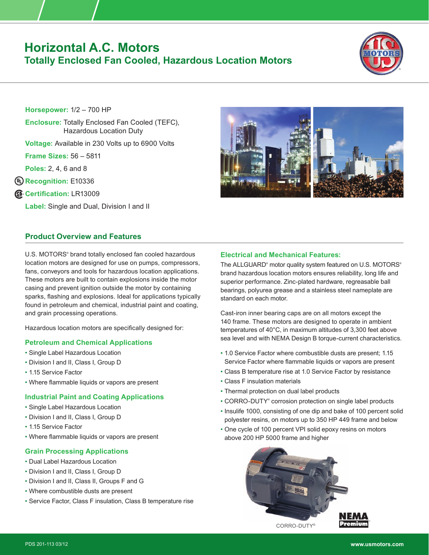# **Horizontal A.C. Motors Totally Enclosed Fan Cooled, Hazardous Location Motors**



**Horsepower:** 1/2 – 700 HP

**Enclosure:** Totally Enclosed Fan Cooled (TEFC), Hazardous Location Duty

**Voltage:** Available in 230 Volts up to 6900 Volts

**Frame Sizes:** 56 – 5811

**Poles:** 2, 4, 6 and 8

**Recognition:** E10336

**Certification:** LR13009

**Label:** Single and Dual, Division I and II

# **Product Overview and Features**

U.S. MOTORS<sup>®</sup> brand totally enclosed fan cooled hazardous location motors are designed for use on pumps, compressors, fans, conveyors and tools for hazardous location applications. These motors are built to contain explosions inside the motor casing and prevent ignition outside the motor by containing sparks, flashing and explosions. Ideal for applications typically found in petroleum and chemical, industrial paint and coating, and grain processing operations.

Hazardous location motors are specifically designed for:

# **Petroleum and Chemical Applications**

- Single Label Hazardous Location
- Division I and II, Class I, Group D
- 1.15 Service Factor
- Where flammable liquids or vapors are present

#### **Industrial Paint and Coating Applications**

- Single Label Hazardous Location
- Division I and II, Class I, Group D
- 1.15 Service Factor
- Where flammable liquids or vapors are present

### **Grain Processing Applications**

- Dual Label Hazardous Location
- Division I and II, Class I, Group D
- Division I and II, Class II, Groups F and G
- Where combustible dusts are present
- Service Factor, Class F insulation, Class B temperature rise



### **Electrical and Mechanical Features:**

The ALLGUARD® motor quality system featured on U.S. MOTORS® brand hazardous location motors ensures reliability, long life and superior performance. Zinc-plated hardware, regreasable ball bearings, polyurea grease and a stainless steel nameplate are standard on each motor.

Cast-iron inner bearing caps are on all motors except the 140 frame. These motors are designed to operate in ambient temperatures of 40°C, in maximum altitudes of 3,300 feet above sea level and with NEMA Design B torque-current characteristics.

- 1.0 Service Factor where combustible dusts are present; 1.15 Service Factor where flammable liquids or vapors are present
- Class B temperature rise at 1.0 Service Factor by resistance
- Class F insulation materials
- Thermal protection on dual label products
- CORRO-DUTY® corrosion protection on single label products
- Insulife 1000, consisting of one dip and bake of 100 percent solid polyester resins, on motors up to 350 HP 449 frame and below
- One cycle of 100 percent VPI solid epoxy resins on motors above 200 HP 5000 frame and higher



CORRO-DUTY®